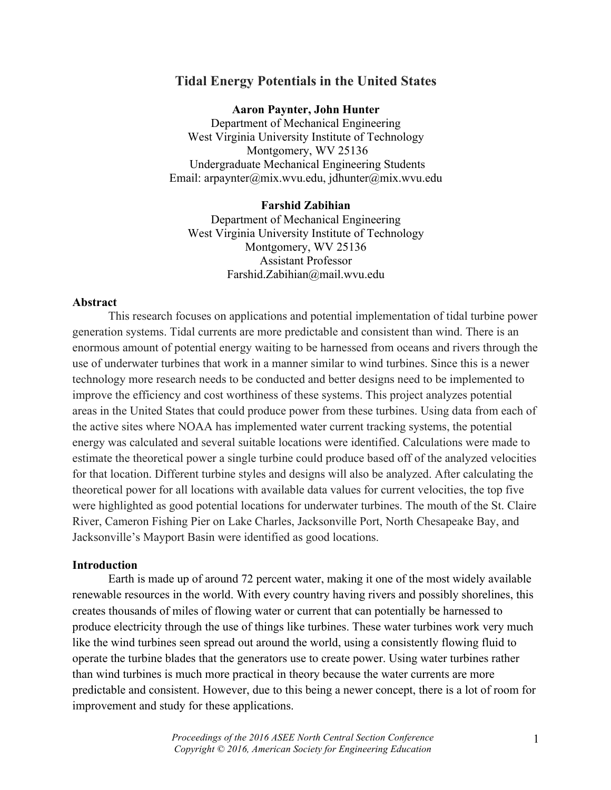# **Tidal Energy Potentials in the United States**

**Aaron Paynter, John Hunter** Department of Mechanical Engineering West Virginia University Institute of Technology Montgomery, WV 25136 Undergraduate Mechanical Engineering Students Email: arpaynter@mix.wvu.edu, jdhunter@mix.wvu.edu

# **Farshid Zabihian**

Department of Mechanical Engineering West Virginia University Institute of Technology Montgomery, WV 25136 Assistant Professor Farshid.Zabihian@mail.wvu.edu

# **Abstract**

This research focuses on applications and potential implementation of tidal turbine power generation systems. Tidal currents are more predictable and consistent than wind. There is an enormous amount of potential energy waiting to be harnessed from oceans and rivers through the use of underwater turbines that work in a manner similar to wind turbines. Since this is a newer technology more research needs to be conducted and better designs need to be implemented to improve the efficiency and cost worthiness of these systems. This project analyzes potential areas in the United States that could produce power from these turbines. Using data from each of the active sites where NOAA has implemented water current tracking systems, the potential energy was calculated and several suitable locations were identified. Calculations were made to estimate the theoretical power a single turbine could produce based off of the analyzed velocities for that location. Different turbine styles and designs will also be analyzed. After calculating the theoretical power for all locations with available data values for current velocities, the top five were highlighted as good potential locations for underwater turbines. The mouth of the St. Claire River, Cameron Fishing Pier on Lake Charles, Jacksonville Port, North Chesapeake Bay, and Jacksonville's Mayport Basin were identified as good locations.

### **Introduction**

Earth is made up of around 72 percent water, making it one of the most widely available renewable resources in the world. With every country having rivers and possibly shorelines, this creates thousands of miles of flowing water or current that can potentially be harnessed to produce electricity through the use of things like turbines. These water turbines work very much like the wind turbines seen spread out around the world, using a consistently flowing fluid to operate the turbine blades that the generators use to create power. Using water turbines rather than wind turbines is much more practical in theory because the water currents are more predictable and consistent. However, due to this being a newer concept, there is a lot of room for improvement and study for these applications.

> *Proceedings of the 2016 ASEE North Central Section Conference Copyright © 2016, American Society for Engineering Education*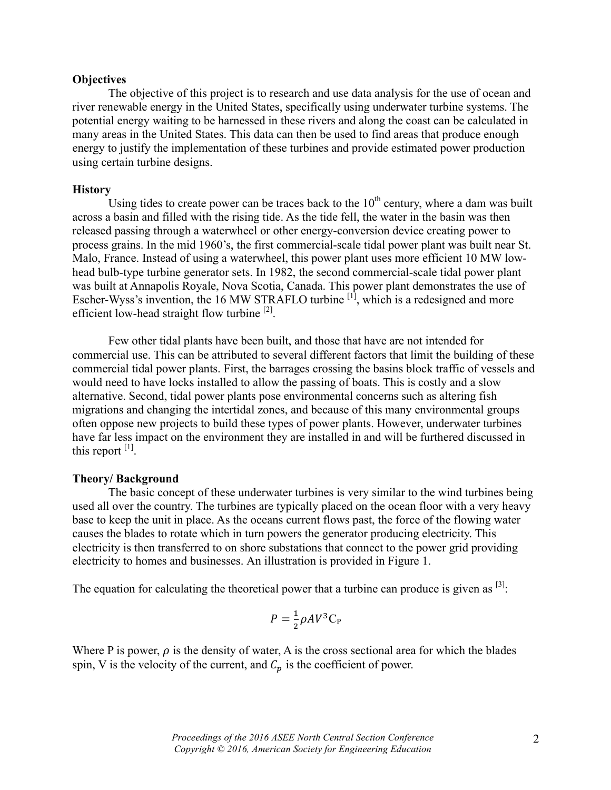## **Objectives**

The objective of this project is to research and use data analysis for the use of ocean and river renewable energy in the United States, specifically using underwater turbine systems. The potential energy waiting to be harnessed in these rivers and along the coast can be calculated in many areas in the United States. This data can then be used to find areas that produce enough energy to justify the implementation of these turbines and provide estimated power production using certain turbine designs.

## **History**

Using tides to create power can be traces back to the  $10<sup>th</sup>$  century, where a dam was built across a basin and filled with the rising tide. As the tide fell, the water in the basin was then released passing through a waterwheel or other energy-conversion device creating power to process grains. In the mid 1960's, the first commercial-scale tidal power plant was built near St. Malo, France. Instead of using a waterwheel, this power plant uses more efficient 10 MW lowhead bulb-type turbine generator sets. In 1982, the second commercial-scale tidal power plant was built at Annapolis Royale, Nova Scotia, Canada. This power plant demonstrates the use of Escher-Wyss's invention, the  $16$  MW STRAFLO turbine  $\begin{bmatrix} 1 \end{bmatrix}$ , which is a redesigned and more efficient low-head straight flow turbine <sup>[2]</sup>.

Few other tidal plants have been built, and those that have are not intended for commercial use. This can be attributed to several different factors that limit the building of these commercial tidal power plants. First, the barrages crossing the basins block traffic of vessels and would need to have locks installed to allow the passing of boats. This is costly and a slow alternative. Second, tidal power plants pose environmental concerns such as altering fish migrations and changing the intertidal zones, and because of this many environmental groups often oppose new projects to build these types of power plants. However, underwater turbines have far less impact on the environment they are installed in and will be furthered discussed in this report  $^{[1]}$ .

## **Theory/ Background**

The basic concept of these underwater turbines is very similar to the wind turbines being used all over the country. The turbines are typically placed on the ocean floor with a very heavy base to keep the unit in place. As the oceans current flows past, the force of the flowing water causes the blades to rotate which in turn powers the generator producing electricity. This electricity is then transferred to on shore substations that connect to the power grid providing electricity to homes and businesses. An illustration is provided in Figure 1.

The equation for calculating the theoretical power that a turbine can produce is given as  $[3]$ :

$$
P = \frac{1}{2}\rho A V^3 C_P
$$

Where P is power,  $\rho$  is the density of water, A is the cross sectional area for which the blades spin, V is the velocity of the current, and  $C_n$  is the coefficient of power.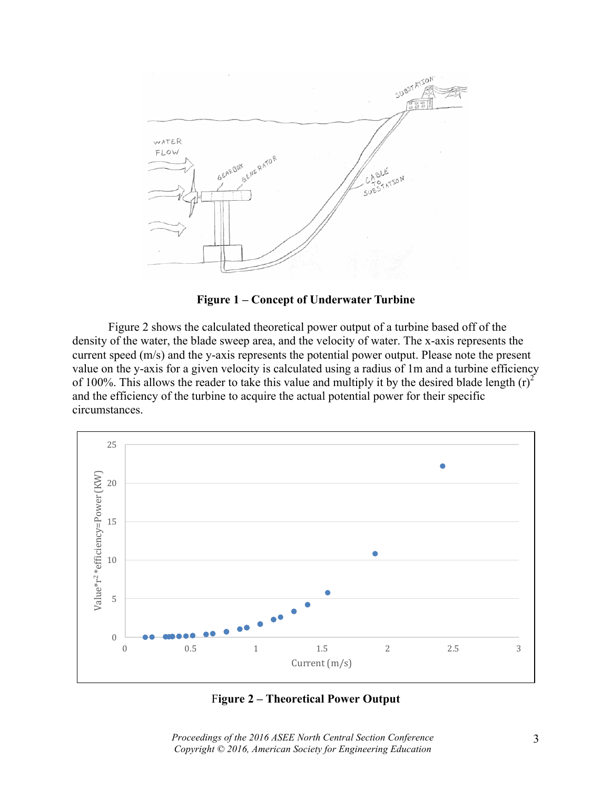

**Figure 1 – Concept of Underwater Turbine**

Figure 2 shows the calculated theoretical power output of a turbine based off of the density of the water, the blade sweep area, and the velocity of water. The x-axis represents the current speed (m/s) and the y-axis represents the potential power output. Please note the present value on the y-axis for a given velocity is calculated using a radius of 1m and a turbine efficiency of 100%. This allows the reader to take this value and multiply it by the desired blade length  $(r)^2$ and the efficiency of the turbine to acquire the actual potential power for their specific circumstances.



F**igure 2 – Theoretical Power Output**

*Proceedings of the 2016 ASEE North Central Section Conference Copyright © 2016, American Society for Engineering Education*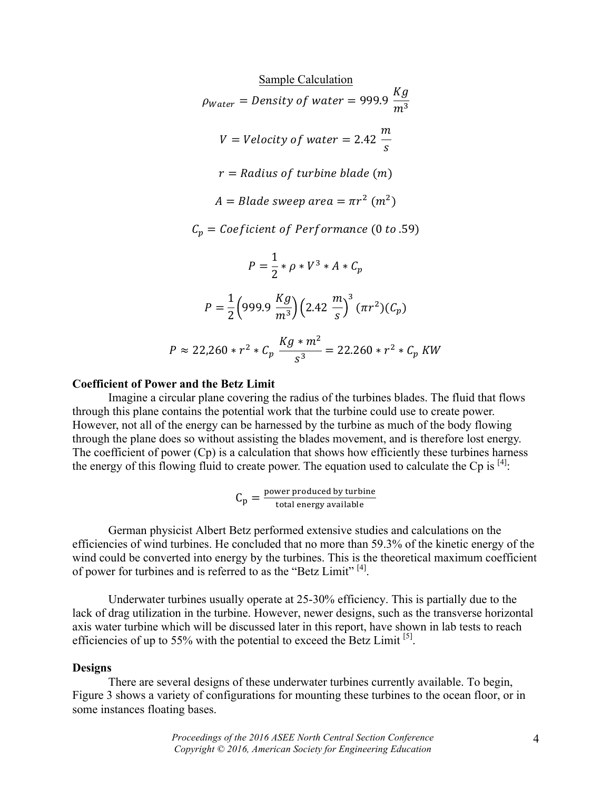$$
\frac{\text{Sample Calculation}}{p_{Water}} = Density of water = 999.9 \frac{Kg}{m^3}
$$
\n
$$
V = Velocity of water = 2.42 \frac{m}{s}
$$
\n
$$
r = Radius of turbine blade (m)
$$
\n
$$
A = Blade sweep area = \pi r^2 (m^2)
$$
\n
$$
C_p = Coeficient of Performance (0 to .59)
$$
\n
$$
P = \frac{1}{2} * \rho * V^3 * A * C_p
$$
\n
$$
P = \frac{1}{2} (999.9 \frac{Kg}{m^3}) (2.42 \frac{m}{s})^3 (\pi r^2) (C_p)
$$
\n
$$
P \approx 22,260 * r^2 * C_p \frac{Kg * m^2}{s^3} = 22.260 * r^2 * C_p KW
$$

### **Coefficient of Power and the Betz Limit**

Imagine a circular plane covering the radius of the turbines blades. The fluid that flows through this plane contains the potential work that the turbine could use to create power. However, not all of the energy can be harnessed by the turbine as much of the body flowing through the plane does so without assisting the blades movement, and is therefore lost energy. The coefficient of power (Cp) is a calculation that shows how efficiently these turbines harness the energy of this flowing fluid to create power. The equation used to calculate the Cp is  $[4]$ :

$$
C_p = \frac{power produced by turbine}{total energy available}
$$

German physicist Albert Betz performed extensive studies and calculations on the efficiencies of wind turbines. He concluded that no more than 59.3% of the kinetic energy of the wind could be converted into energy by the turbines. This is the theoretical maximum coefficient of power for turbines and is referred to as the "Betz Limit" [4].

Underwater turbines usually operate at 25-30% efficiency. This is partially due to the lack of drag utilization in the turbine. However, newer designs, such as the transverse horizontal axis water turbine which will be discussed later in this report, have shown in lab tests to reach efficiencies of up to 55% with the potential to exceed the Betz Limit  $^{[5]}$ .

#### **Designs**

There are several designs of these underwater turbines currently available. To begin, Figure 3 shows a variety of configurations for mounting these turbines to the ocean floor, or in some instances floating bases.

> *Proceedings of the 2016 ASEE North Central Section Conference Copyright © 2016, American Society for Engineering Education*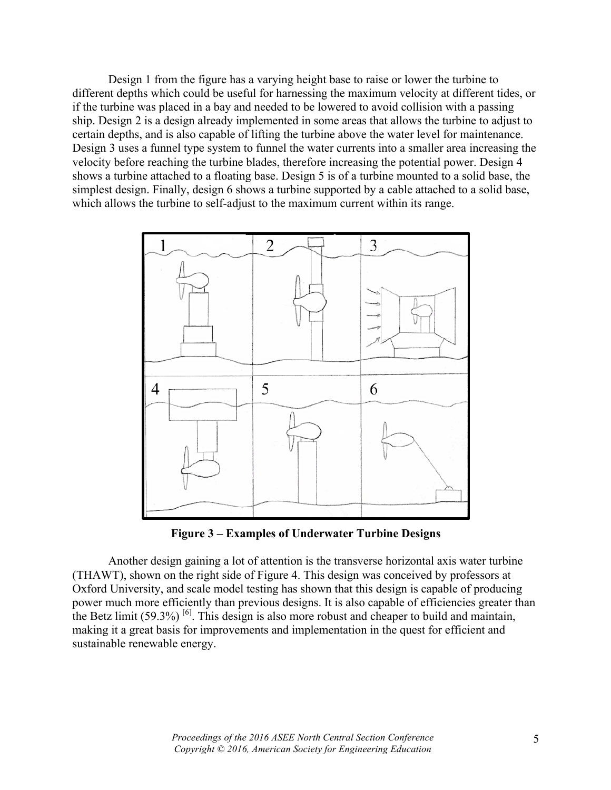Design 1 from the figure has a varying height base to raise or lower the turbine to different depths which could be useful for harnessing the maximum velocity at different tides, or if the turbine was placed in a bay and needed to be lowered to avoid collision with a passing ship. Design 2 is a design already implemented in some areas that allows the turbine to adjust to certain depths, and is also capable of lifting the turbine above the water level for maintenance. Design 3 uses a funnel type system to funnel the water currents into a smaller area increasing the velocity before reaching the turbine blades, therefore increasing the potential power. Design 4 shows a turbine attached to a floating base. Design 5 is of a turbine mounted to a solid base, the simplest design. Finally, design 6 shows a turbine supported by a cable attached to a solid base, which allows the turbine to self-adjust to the maximum current within its range.



**Figure 3 – Examples of Underwater Turbine Designs**

Another design gaining a lot of attention is the transverse horizontal axis water turbine (THAWT), shown on the right side of Figure 4. This design was conceived by professors at Oxford University, and scale model testing has shown that this design is capable of producing power much more efficiently than previous designs. It is also capable of efficiencies greater than the Betz limit  $(59.3\%)$ <sup>[6]</sup>. This design is also more robust and cheaper to build and maintain, making it a great basis for improvements and implementation in the quest for efficient and sustainable renewable energy.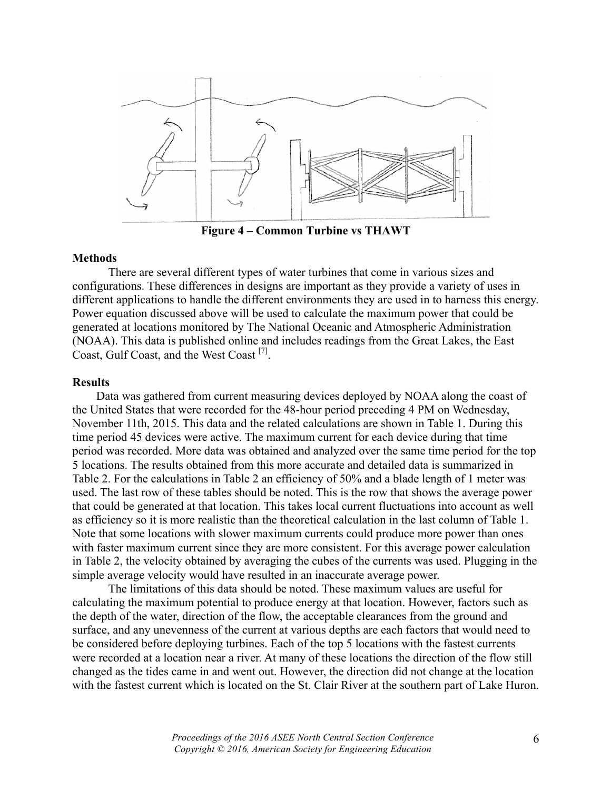

**Figure 4 – Common Turbine vs THAWT**

# **Methods**

There are several different types of water turbines that come in various sizes and configurations. These differences in designs are important as they provide a variety of uses in different applications to handle the different environments they are used in to harness this energy. Power equation discussed above will be used to calculate the maximum power that could be generated at locations monitored by The National Oceanic and Atmospheric Administration (NOAA). This data is published online and includes readings from the Great Lakes, the East Coast, Gulf Coast, and the West Coast<sup>[7]</sup>.

## **Results**

Data was gathered from current measuring devices deployed by NOAA along the coast of the United States that were recorded for the 48-hour period preceding 4 PM on Wednesday, November 11th, 2015. This data and the related calculations are shown in Table 1. During this time period 45 devices were active. The maximum current for each device during that time period was recorded. More data was obtained and analyzed over the same time period for the top 5 locations. The results obtained from this more accurate and detailed data is summarized in Table 2. For the calculations in Table 2 an efficiency of 50% and a blade length of 1 meter was used. The last row of these tables should be noted. This is the row that shows the average power that could be generated at that location. This takes local current fluctuations into account as well as efficiency so it is more realistic than the theoretical calculation in the last column of Table 1. Note that some locations with slower maximum currents could produce more power than ones with faster maximum current since they are more consistent. For this average power calculation in Table 2, the velocity obtained by averaging the cubes of the currents was used. Plugging in the simple average velocity would have resulted in an inaccurate average power.

The limitations of this data should be noted. These maximum values are useful for calculating the maximum potential to produce energy at that location. However, factors such as the depth of the water, direction of the flow, the acceptable clearances from the ground and surface, and any unevenness of the current at various depths are each factors that would need to be considered before deploying turbines. Each of the top 5 locations with the fastest currents were recorded at a location near a river. At many of these locations the direction of the flow still changed as the tides came in and went out. However, the direction did not change at the location with the fastest current which is located on the St. Clair River at the southern part of Lake Huron.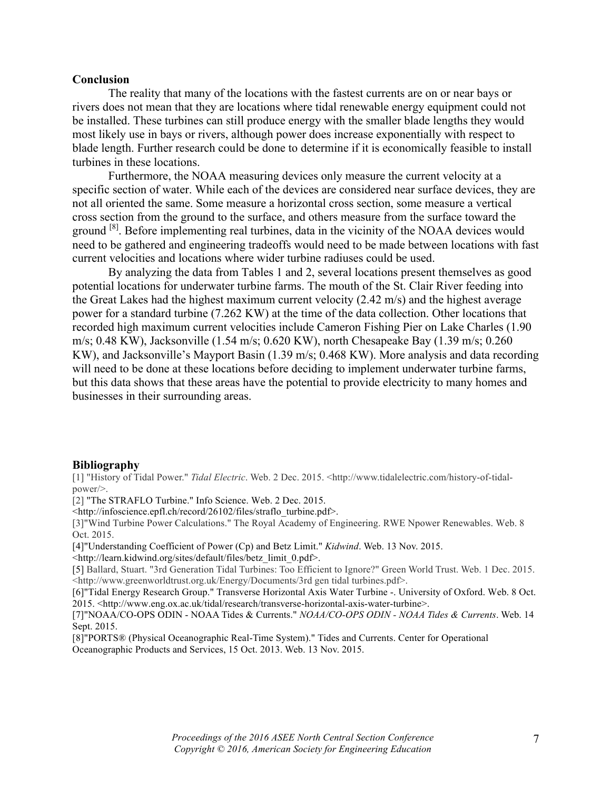### **Conclusion**

The reality that many of the locations with the fastest currents are on or near bays or rivers does not mean that they are locations where tidal renewable energy equipment could not be installed. These turbines can still produce energy with the smaller blade lengths they would most likely use in bays or rivers, although power does increase exponentially with respect to blade length. Further research could be done to determine if it is economically feasible to install turbines in these locations.

Furthermore, the NOAA measuring devices only measure the current velocity at a specific section of water. While each of the devices are considered near surface devices, they are not all oriented the same. Some measure a horizontal cross section, some measure a vertical cross section from the ground to the surface, and others measure from the surface toward the ground <sup>[8]</sup>. Before implementing real turbines, data in the vicinity of the NOAA devices would need to be gathered and engineering tradeoffs would need to be made between locations with fast current velocities and locations where wider turbine radiuses could be used.

By analyzing the data from Tables 1 and 2, several locations present themselves as good potential locations for underwater turbine farms. The mouth of the St. Clair River feeding into the Great Lakes had the highest maximum current velocity (2.42 m/s) and the highest average power for a standard turbine (7.262 KW) at the time of the data collection. Other locations that recorded high maximum current velocities include Cameron Fishing Pier on Lake Charles (1.90 m/s; 0.48 KW), Jacksonville (1.54 m/s; 0.620 KW), north Chesapeake Bay (1.39 m/s; 0.260 KW), and Jacksonville's Mayport Basin (1.39 m/s; 0.468 KW). More analysis and data recording will need to be done at these locations before deciding to implement underwater turbine farms, but this data shows that these areas have the potential to provide electricity to many homes and businesses in their surrounding areas.

#### **Bibliography**

[1] "History of Tidal Power." *Tidal Electric*. Web. 2 Dec. 2015. <http://www.tidalelectric.com/history-of-tidalpower/>.

[2] "The STRAFLO Turbine." Info Science. Web. 2 Dec. 2015.

<http://infoscience.epfl.ch/record/26102/files/straflo\_turbine.pdf>.

[3]"Wind Turbine Power Calculations." The Royal Academy of Engineering. RWE Npower Renewables. Web. 8 Oct. 2015.

[4]"Understanding Coefficient of Power (Cp) and Betz Limit." *Kidwind*. Web. 13 Nov. 2015.

<http://learn.kidwind.org/sites/default/files/betz\_limit\_0.pdf>.

[5] Ballard, Stuart. "3rd Generation Tidal Turbines: Too Efficient to Ignore?" Green World Trust. Web. 1 Dec. 2015. <http://www.greenworldtrust.org.uk/Energy/Documents/3rd gen tidal turbines.pdf>.

[6]"Tidal Energy Research Group." Transverse Horizontal Axis Water Turbine -. University of Oxford. Web. 8 Oct. 2015. <http://www.eng.ox.ac.uk/tidal/research/transverse-horizontal-axis-water-turbine>.

[7]"NOAA/CO-OPS ODIN - NOAA Tides & Currents." *NOAA/CO-OPS ODIN - NOAA Tides & Currents*. Web. 14 Sept. 2015.

[8]"PORTS® (Physical Oceanographic Real-Time System)." Tides and Currents. Center for Operational Oceanographic Products and Services, 15 Oct. 2013. Web. 13 Nov. 2015.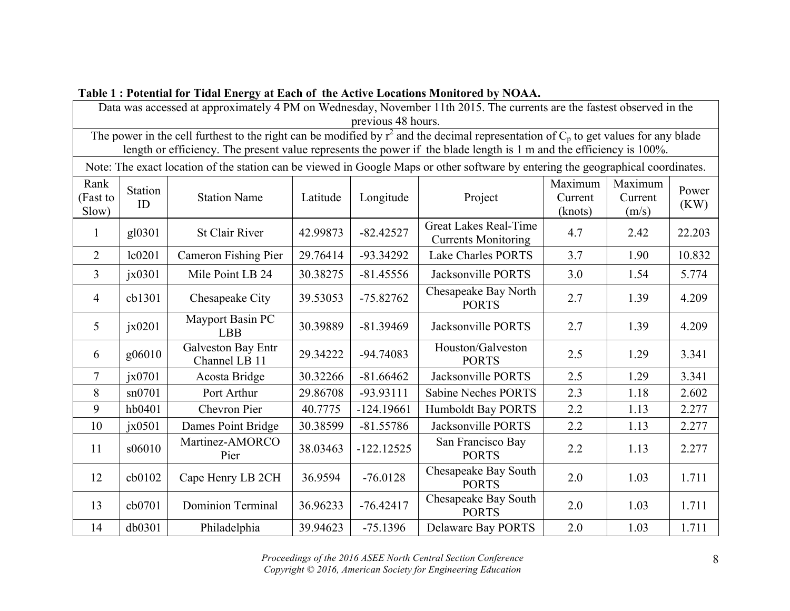| Data was accessed at approximately 4 PM on Wednesday, November 11th 2015. The currents are the fastest observed in the<br>previous 48 hours.                                                                                                                    |                           |                                     |          |              |                                                                                                                                  |                               |                             |               |
|-----------------------------------------------------------------------------------------------------------------------------------------------------------------------------------------------------------------------------------------------------------------|---------------------------|-------------------------------------|----------|--------------|----------------------------------------------------------------------------------------------------------------------------------|-------------------------------|-----------------------------|---------------|
| The power in the cell furthest to the right can be modified by $r^2$ and the decimal representation of $C_p$ to get values for any blade<br>length or efficiency. The present value represents the power if the blade length is 1 m and the efficiency is 100%. |                           |                                     |          |              |                                                                                                                                  |                               |                             |               |
|                                                                                                                                                                                                                                                                 |                           |                                     |          |              | Note: The exact location of the station can be viewed in Google Maps or other software by entering the geographical coordinates. |                               |                             |               |
| Rank<br>(Fast to<br>Slow)                                                                                                                                                                                                                                       | Station<br>ID             | <b>Station Name</b>                 | Latitude | Longitude    | Project                                                                                                                          | Maximum<br>Current<br>(knots) | Maximum<br>Current<br>(m/s) | Power<br>(KW) |
| 1                                                                                                                                                                                                                                                               | gl0301                    | <b>St Clair River</b>               | 42.99873 | $-82.42527$  | <b>Great Lakes Real-Time</b><br><b>Currents Monitoring</b>                                                                       | 4.7                           | 2.42                        | 22.203        |
| $\overline{2}$                                                                                                                                                                                                                                                  | lc0201                    | Cameron Fishing Pier                | 29.76414 | -93.34292    | <b>Lake Charles PORTS</b>                                                                                                        | 3.7                           | 1.90                        | 10.832        |
| $\overline{3}$                                                                                                                                                                                                                                                  | $\chi$ <sub>1</sub> x0301 | Mile Point LB 24                    | 30.38275 | $-81.45556$  | Jacksonville PORTS                                                                                                               | 3.0                           | 1.54                        | 5.774         |
| 4                                                                                                                                                                                                                                                               | cb1301                    | Chesapeake City                     | 39.53053 | $-75.82762$  | Chesapeake Bay North<br><b>PORTS</b>                                                                                             | 2.7                           | 1.39                        | 4.209         |
| 5                                                                                                                                                                                                                                                               | $\alpha$ jx0201           | Mayport Basin PC<br><b>LBB</b>      | 30.39889 | $-81.39469$  | Jacksonville PORTS                                                                                                               | 2.7                           | 1.39                        | 4.209         |
| 6                                                                                                                                                                                                                                                               | g06010                    | Galveston Bay Entr<br>Channel LB 11 | 29.34222 | -94.74083    | Houston/Galveston<br><b>PORTS</b>                                                                                                | 2.5                           | 1.29                        | 3.341         |
| 7                                                                                                                                                                                                                                                               | $\alpha$ ix0701           | Acosta Bridge                       | 30.32266 | $-81.66462$  | Jacksonville PORTS                                                                                                               | 2.5                           | 1.29                        | 3.341         |
| 8                                                                                                                                                                                                                                                               | sn0701                    | Port Arthur                         | 29.86708 | -93.93111    | <b>Sabine Neches PORTS</b>                                                                                                       | 2.3                           | 1.18                        | 2.602         |
| 9                                                                                                                                                                                                                                                               | hb0401                    | Chevron Pier                        | 40.7775  | $-124.19661$ | <b>Humboldt Bay PORTS</b>                                                                                                        | 2.2                           | 1.13                        | 2.277         |
| 10                                                                                                                                                                                                                                                              | $\chi$ <sub>1</sub> x0501 | Dames Point Bridge                  | 30.38599 | $-81.55786$  | Jacksonville PORTS                                                                                                               | 2.2                           | 1.13                        | 2.277         |
| 11                                                                                                                                                                                                                                                              | s06010                    | Martinez-AMORCO<br>Pier             | 38.03463 | $-122.12525$ | San Francisco Bay<br><b>PORTS</b>                                                                                                | 2.2                           | 1.13                        | 2.277         |
| 12                                                                                                                                                                                                                                                              | cb0102                    | Cape Henry LB 2CH                   | 36.9594  | $-76.0128$   | Chesapeake Bay South<br><b>PORTS</b>                                                                                             | 2.0                           | 1.03                        | 1.711         |
| 13                                                                                                                                                                                                                                                              | cb0701                    | <b>Dominion Terminal</b>            | 36.96233 | $-76.42417$  | Chesapeake Bay South<br><b>PORTS</b>                                                                                             | 2.0                           | 1.03                        | 1.711         |
| 14                                                                                                                                                                                                                                                              | db0301                    | Philadelphia                        | 39.94623 | $-75.1396$   | Delaware Bay PORTS                                                                                                               | 2.0                           | 1.03                        | 1.711         |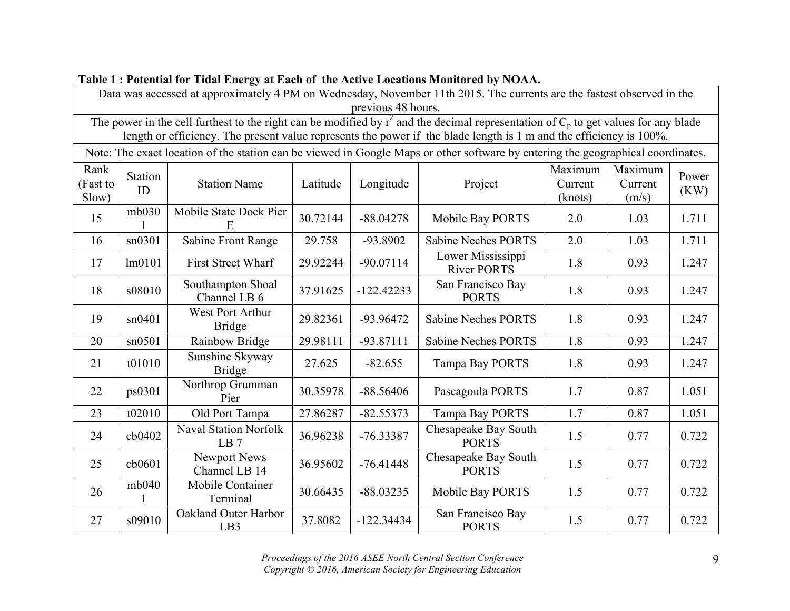| previous 48 hours.                                                                                                                                                                                                                                              |                                                                                                                                  |                                         |          |              |                                         |                               |                             |               |  |
|-----------------------------------------------------------------------------------------------------------------------------------------------------------------------------------------------------------------------------------------------------------------|----------------------------------------------------------------------------------------------------------------------------------|-----------------------------------------|----------|--------------|-----------------------------------------|-------------------------------|-----------------------------|---------------|--|
| The power in the cell furthest to the right can be modified by $r^2$ and the decimal representation of $C_p$ to get values for any blade<br>length or efficiency. The present value represents the power if the blade length is 1 m and the efficiency is 100%. |                                                                                                                                  |                                         |          |              |                                         |                               |                             |               |  |
|                                                                                                                                                                                                                                                                 | Note: The exact location of the station can be viewed in Google Maps or other software by entering the geographical coordinates. |                                         |          |              |                                         |                               |                             |               |  |
| Rank<br>(Fast to<br>Slow)                                                                                                                                                                                                                                       | <b>Station</b><br>ID                                                                                                             | <b>Station Name</b>                     | Latitude | Longitude    | Project                                 | Maximum<br>Current<br>(knots) | Maximum<br>Current<br>(m/s) | Power<br>(KW) |  |
| 15                                                                                                                                                                                                                                                              | mb030                                                                                                                            | Mobile State Dock Pier<br>E             | 30.72144 | $-88.04278$  | Mobile Bay PORTS                        | 2.0                           | 1.03                        | 1.711         |  |
| 16                                                                                                                                                                                                                                                              | sn0301                                                                                                                           | Sabine Front Range                      | 29.758   | -93.8902     | <b>Sabine Neches PORTS</b>              | 2.0                           | 1.03                        | 1.711         |  |
| 17                                                                                                                                                                                                                                                              | lm0101                                                                                                                           | <b>First Street Wharf</b>               | 29.92244 | $-90.07114$  | Lower Mississippi<br><b>River PORTS</b> | 1.8                           | 0.93                        | 1.247         |  |
| 18                                                                                                                                                                                                                                                              | s08010                                                                                                                           | Southampton Shoal<br>Channel LB 6       | 37.91625 | $-122.42233$ | San Francisco Bay<br><b>PORTS</b>       | 1.8                           | 0.93                        | 1.247         |  |
| 19                                                                                                                                                                                                                                                              | sn0401                                                                                                                           | West Port Arthur<br><b>Bridge</b>       | 29.82361 | -93.96472    | <b>Sabine Neches PORTS</b>              | 1.8                           | 0.93                        | 1.247         |  |
| 20                                                                                                                                                                                                                                                              | sn0501                                                                                                                           | Rainbow Bridge                          | 29.98111 | $-93.87111$  | <b>Sabine Neches PORTS</b>              | 1.8                           | 0.93                        | 1.247         |  |
| 21                                                                                                                                                                                                                                                              | t01010                                                                                                                           | Sunshine Skyway<br><b>Bridge</b>        | 27.625   | $-82.655$    | <b>Tampa Bay PORTS</b>                  | 1.8                           | 0.93                        | 1.247         |  |
| 22                                                                                                                                                                                                                                                              | ps0301                                                                                                                           | Northrop Grumman<br>Pier                | 30.35978 | $-88.56406$  | Pascagoula PORTS                        | 1.7                           | 0.87                        | 1.051         |  |
| 23                                                                                                                                                                                                                                                              | t02010                                                                                                                           | Old Port Tampa                          | 27.86287 | $-82.55373$  | Tampa Bay PORTS                         | 1.7                           | 0.87                        | 1.051         |  |
| 24                                                                                                                                                                                                                                                              | cb0402                                                                                                                           | <b>Naval Station Norfolk</b><br>LB7     | 36.96238 | $-76.33387$  | Chesapeake Bay South<br><b>PORTS</b>    | 1.5                           | 0.77                        | 0.722         |  |
| 25                                                                                                                                                                                                                                                              | cb0601                                                                                                                           | Newport News<br>Channel LB 14           | 36.95602 | $-76.41448$  | Chesapeake Bay South<br><b>PORTS</b>    | 1.5                           | 0.77                        | 0.722         |  |
| 26                                                                                                                                                                                                                                                              | mb040                                                                                                                            | Mobile Container<br>Terminal            | 30.66435 | $-88.03235$  | Mobile Bay PORTS                        | 1.5                           | 0.77                        | 0.722         |  |
| 27                                                                                                                                                                                                                                                              | s09010                                                                                                                           | Oakland Outer Harbor<br>LB <sub>3</sub> | 37.8082  | $-122.34434$ | San Francisco Bay<br><b>PORTS</b>       | 1.5                           | 0.77                        | 0.722         |  |

Data was accessed at approximately 4 PM on Wednesday, November 11th 2015. The currents are the fastest observed in the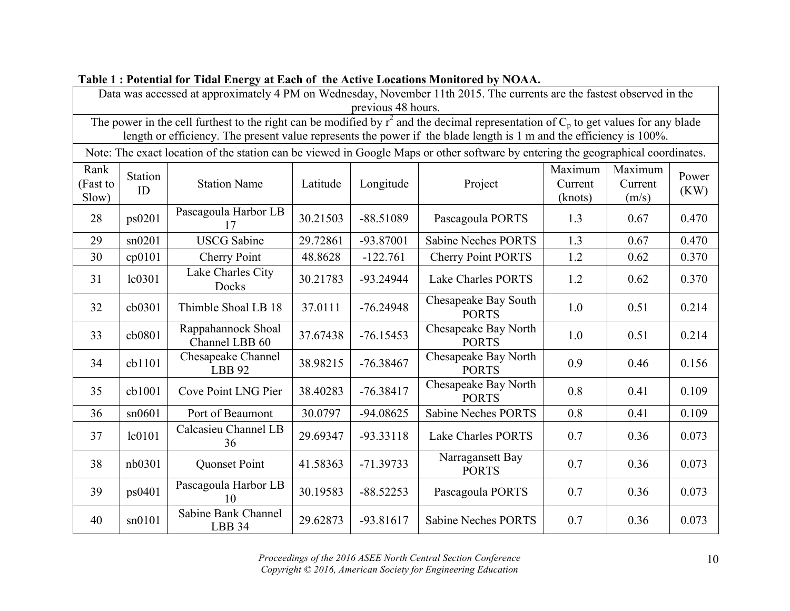| previous 48 hours.                                                                                                                                                                                                                                              |                                                                                                                                  |                                      |          |             |                                      |                               |                             |               |  |
|-----------------------------------------------------------------------------------------------------------------------------------------------------------------------------------------------------------------------------------------------------------------|----------------------------------------------------------------------------------------------------------------------------------|--------------------------------------|----------|-------------|--------------------------------------|-------------------------------|-----------------------------|---------------|--|
| The power in the cell furthest to the right can be modified by $r^2$ and the decimal representation of $C_p$ to get values for any blade<br>length or efficiency. The present value represents the power if the blade length is 1 m and the efficiency is 100%. |                                                                                                                                  |                                      |          |             |                                      |                               |                             |               |  |
|                                                                                                                                                                                                                                                                 | Note: The exact location of the station can be viewed in Google Maps or other software by entering the geographical coordinates. |                                      |          |             |                                      |                               |                             |               |  |
| Rank<br>(Fast to<br>Slow)                                                                                                                                                                                                                                       | Station<br>ID                                                                                                                    | <b>Station Name</b>                  | Latitude | Longitude   | Project                              | Maximum<br>Current<br>(knots) | Maximum<br>Current<br>(m/s) | Power<br>(KW) |  |
| 28                                                                                                                                                                                                                                                              | ps0201                                                                                                                           | Pascagoula Harbor LB<br>17           | 30.21503 | $-88.51089$ | Pascagoula PORTS                     | 1.3                           | 0.67                        | 0.470         |  |
| 29                                                                                                                                                                                                                                                              | sn0201                                                                                                                           | <b>USCG</b> Sabine                   | 29.72861 | -93.87001   | <b>Sabine Neches PORTS</b>           | 1.3                           | 0.67                        | 0.470         |  |
| 30                                                                                                                                                                                                                                                              | cp0101                                                                                                                           | Cherry Point                         | 48.8628  | $-122.761$  | <b>Cherry Point PORTS</b>            | 1.2                           | 0.62                        | 0.370         |  |
| 31                                                                                                                                                                                                                                                              | lc0301                                                                                                                           | Lake Charles City<br>Docks           | 30.21783 | $-93.24944$ | <b>Lake Charles PORTS</b>            | 1.2                           | 0.62                        | 0.370         |  |
| 32                                                                                                                                                                                                                                                              | cb0301                                                                                                                           | Thimble Shoal LB 18                  | 37.0111  | $-76.24948$ | Chesapeake Bay South<br><b>PORTS</b> | 1.0                           | 0.51                        | 0.214         |  |
| 33                                                                                                                                                                                                                                                              | cb0801                                                                                                                           | Rappahannock Shoal<br>Channel LBB 60 | 37.67438 | $-76.15453$ | Chesapeake Bay North<br><b>PORTS</b> | 1.0                           | 0.51                        | 0.214         |  |
| 34                                                                                                                                                                                                                                                              | cb1101                                                                                                                           | Chesapeake Channel<br><b>LBB</b> 92  | 38.98215 | $-76.38467$ | Chesapeake Bay North<br><b>PORTS</b> | 0.9                           | 0.46                        | 0.156         |  |
| 35                                                                                                                                                                                                                                                              | cb1001                                                                                                                           | Cove Point LNG Pier                  | 38.40283 | $-76.38417$ | Chesapeake Bay North<br><b>PORTS</b> | 0.8                           | 0.41                        | 0.109         |  |
| 36                                                                                                                                                                                                                                                              | sn0601                                                                                                                           | Port of Beaumont                     | 30.0797  | $-94.08625$ | <b>Sabine Neches PORTS</b>           | 0.8                           | 0.41                        | 0.109         |  |
| 37                                                                                                                                                                                                                                                              | lc0101                                                                                                                           | Calcasieu Channel LB<br>36           | 29.69347 | $-93.33118$ | <b>Lake Charles PORTS</b>            | 0.7                           | 0.36                        | 0.073         |  |
| 38                                                                                                                                                                                                                                                              | nb0301                                                                                                                           | <b>Quonset Point</b>                 | 41.58363 | $-71.39733$ | Narragansett Bay<br><b>PORTS</b>     | 0.7                           | 0.36                        | 0.073         |  |
| 39                                                                                                                                                                                                                                                              | ps0401                                                                                                                           | Pascagoula Harbor LB<br>10           | 30.19583 | $-88.52253$ | Pascagoula PORTS                     | 0.7                           | 0.36                        | 0.073         |  |
| 40                                                                                                                                                                                                                                                              | sn0101                                                                                                                           | Sabine Bank Channel<br>LBB 34        | 29.62873 | $-93.81617$ | <b>Sabine Neches PORTS</b>           | 0.7                           | 0.36                        | 0.073         |  |

Data was accessed at approximately 4 PM on Wednesday, November 11th 2015. The currents are the fastest observed in the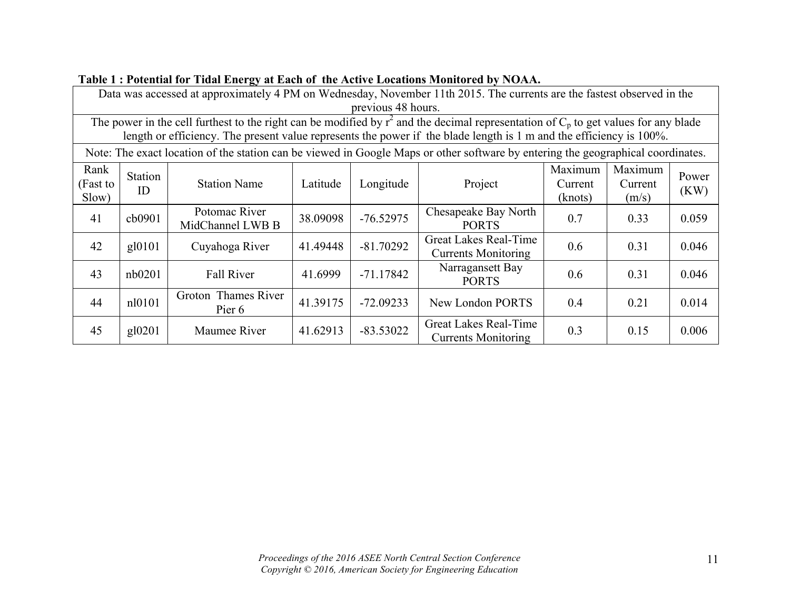| Data was accessed at approximately 4 PM on Wednesday, November 11th 2015. The currents are the fastest observed in the |                                                                                                                                          |                                   |          |             |                                                                                                                                  |         |         |       |  |  |
|------------------------------------------------------------------------------------------------------------------------|------------------------------------------------------------------------------------------------------------------------------------------|-----------------------------------|----------|-------------|----------------------------------------------------------------------------------------------------------------------------------|---------|---------|-------|--|--|
|                                                                                                                        | previous 48 hours.                                                                                                                       |                                   |          |             |                                                                                                                                  |         |         |       |  |  |
|                                                                                                                        | The power in the cell furthest to the right can be modified by $r^2$ and the decimal representation of $C_p$ to get values for any blade |                                   |          |             |                                                                                                                                  |         |         |       |  |  |
|                                                                                                                        | length or efficiency. The present value represents the power if the blade length is 1 m and the efficiency is 100%.                      |                                   |          |             |                                                                                                                                  |         |         |       |  |  |
|                                                                                                                        |                                                                                                                                          |                                   |          |             | Note: The exact location of the station can be viewed in Google Maps or other software by entering the geographical coordinates. |         |         |       |  |  |
| Rank                                                                                                                   | Station                                                                                                                                  |                                   |          |             |                                                                                                                                  | Maximum | Maximum | Power |  |  |
| (Fast to                                                                                                               | ID                                                                                                                                       | <b>Station Name</b>               | Latitude | Longitude   | Project                                                                                                                          | Current | Current | (KW)  |  |  |
| Slow)                                                                                                                  |                                                                                                                                          |                                   |          |             |                                                                                                                                  | (knots) | (m/s)   |       |  |  |
| 41                                                                                                                     | cb0901                                                                                                                                   | Potomac River<br>MidChannel LWB B | 38.09098 | $-76.52975$ | Chesapeake Bay North<br><b>PORTS</b>                                                                                             | 0.7     | 0.33    | 0.059 |  |  |
| 42                                                                                                                     | gl0101                                                                                                                                   | Cuyahoga River                    | 41.49448 | $-81.70292$ | Great Lakes Real-Time<br><b>Currents Monitoring</b>                                                                              | 0.6     | 0.31    | 0.046 |  |  |
| 43                                                                                                                     | nb0201                                                                                                                                   | <b>Fall River</b>                 | 41.6999  | $-71.17842$ | Narragansett Bay<br><b>PORTS</b>                                                                                                 | 0.6     | 0.31    | 0.046 |  |  |
| 44                                                                                                                     | nl0101                                                                                                                                   | Groton Thames River<br>Pier 6     | 41.39175 | $-72.09233$ | New London PORTS                                                                                                                 | 0.4     | 0.21    | 0.014 |  |  |
| 45                                                                                                                     | gl0201                                                                                                                                   | Maumee River                      | 41.62913 | $-83.53022$ | Great Lakes Real-Time<br><b>Currents Monitoring</b>                                                                              | 0.3     | 0.15    | 0.006 |  |  |